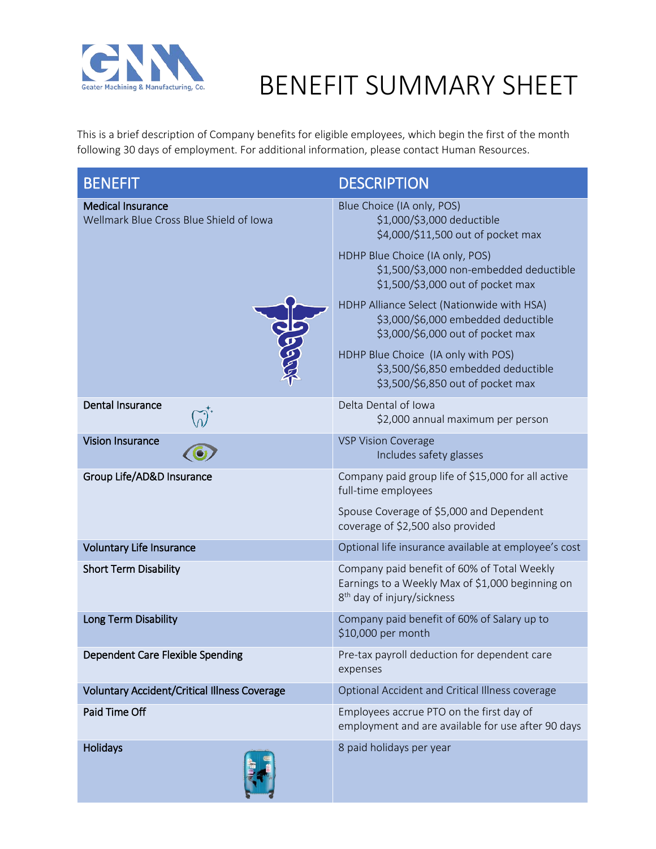

## BENEFIT SUMMARY SHEET

This is a brief description of Company benefits for eligible employees, which begin the first of the month following 30 days of employment. For additional information, please contact Human Resources.

| <b>BENEFIT</b>                                                      | <b>DESCRIPTION</b>                                                                                                                        |
|---------------------------------------------------------------------|-------------------------------------------------------------------------------------------------------------------------------------------|
| <b>Medical Insurance</b><br>Wellmark Blue Cross Blue Shield of Iowa | Blue Choice (IA only, POS)<br>\$1,000/\$3,000 deductible<br>\$4,000/\$11,500 out of pocket max                                            |
|                                                                     | HDHP Blue Choice (IA only, POS)<br>\$1,500/\$3,000 non-embedded deductible<br>\$1,500/\$3,000 out of pocket max                           |
|                                                                     | HDHP Alliance Select (Nationwide with HSA)<br>\$3,000/\$6,000 embedded deductible<br>\$3,000/\$6,000 out of pocket max                    |
|                                                                     | HDHP Blue Choice (IA only with POS)<br>\$3,500/\$6,850 embedded deductible<br>\$3,500/\$6,850 out of pocket max                           |
| <b>Dental Insurance</b>                                             | Delta Dental of Iowa<br>\$2,000 annual maximum per person                                                                                 |
| <b>Vision Insurance</b>                                             | <b>VSP Vision Coverage</b><br>Includes safety glasses                                                                                     |
| Group Life/AD&D Insurance                                           | Company paid group life of \$15,000 for all active<br>full-time employees                                                                 |
|                                                                     | Spouse Coverage of \$5,000 and Dependent<br>coverage of \$2,500 also provided                                                             |
| <b>Voluntary Life Insurance</b>                                     | Optional life insurance available at employee's cost                                                                                      |
| <b>Short Term Disability</b>                                        | Company paid benefit of 60% of Total Weekly<br>Earnings to a Weekly Max of \$1,000 beginning on<br>8 <sup>th</sup> day of injury/sickness |
| Long Term Disability                                                | Company paid benefit of 60% of Salary up to<br>\$10,000 per month                                                                         |
| Dependent Care Flexible Spending                                    | Pre-tax payroll deduction for dependent care<br>expenses                                                                                  |
| <b>Voluntary Accident/Critical Illness Coverage</b>                 | Optional Accident and Critical Illness coverage                                                                                           |
| Paid Time Off                                                       | Employees accrue PTO on the first day of<br>employment and are available for use after 90 days                                            |
| <b>Holidays</b>                                                     | 8 paid holidays per year                                                                                                                  |